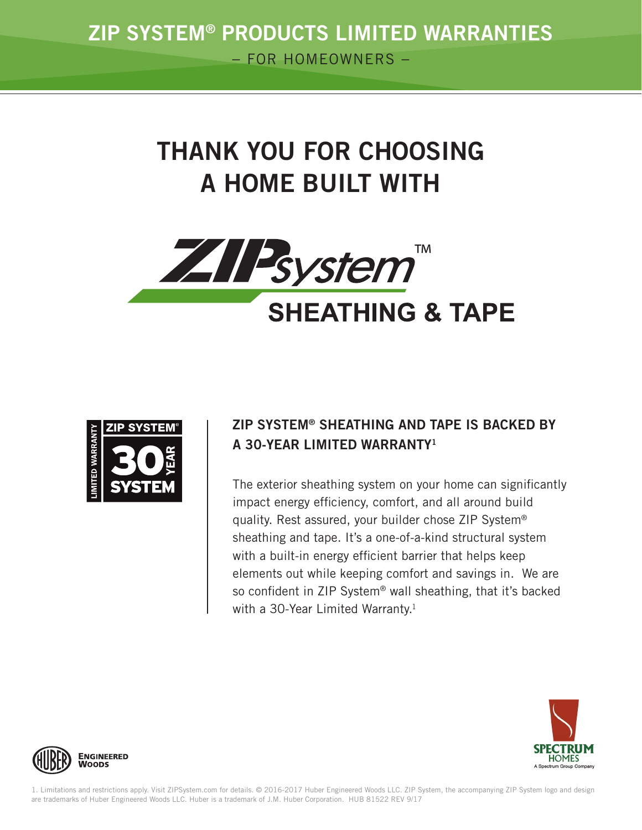# THANK YOU FOR CHOOSING A HOME BUILT WITH





## ZIP SYSTEM® SHEATHING AND TAPE IS BACKED BY A 30-YEAR LIMITED WARRANTY1

The exterior sheathing system on your home can significantly impact energy efficiency, comfort, and all around build quality. Rest assured, your builder chose ZIP System® sheathing and tape. It's a one-of-a-kind structural system with a built-in energy efficient barrier that helps keep elements out while keeping comfort and savings in. We are so confident in ZIP System® wall sheathing, that it's backed with a 30-Year Limited Warranty.<sup>1</sup>